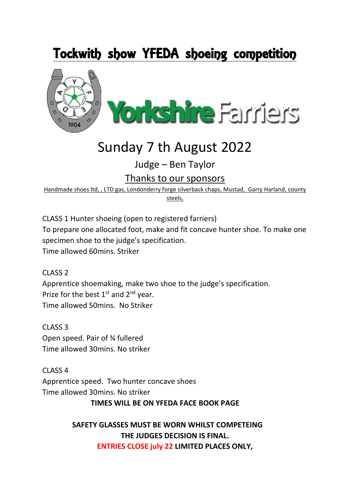## Tockwith show YFEDA shoeing competition



# Sunday 7 th August 2022

Judge – Ben Taylor

Thanks to our sponsors

Handmade shoes ltd, , LTD gas, Londonderry forge silverback chaps, Mustad, Garry Harland, county steels,

CLASS 1 Hunter shoeing (open to registered farriers) To prepare one allocated foot, make and fit concave hunter shoe. To make one specimen shoe to the judge's specification. Time allowed 60mins. Striker

CLASS 2 Apprentice shoemaking, make two shoe to the judge's specification. Prize for the best  $1<sup>st</sup>$  and  $2<sup>nd</sup>$  year. Time allowed 50mins. No Striker

CLASS 3 Open speed. Pair of ¾ fullered Time allowed 30mins. No striker

CLASS 4 Apprentice speed. Two hunter concave shoes Time allowed 30mins. No striker

 **TIMES WILL BE ON YFEDA FACE BOOK PAGE** 

### **SAFETY GLASSES MUST BE WORN WHILST COMPETEING THE JUDGES DECISION IS FINAL. ENTRIES CLOSE july 22 LIMITED PLACES ONLY,**